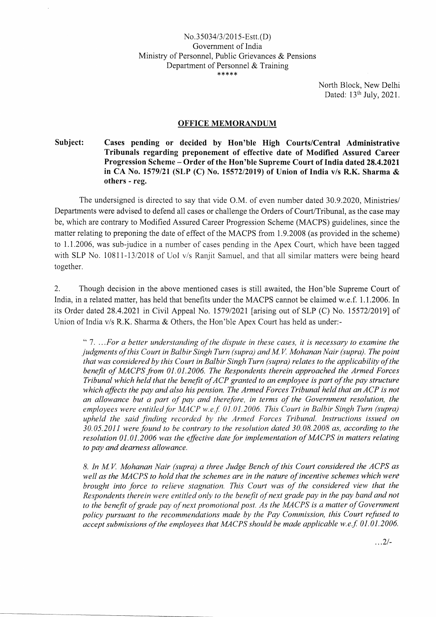North Block, New Delhi Dated: 13<sup>th</sup> July, 2021.

## OFFICE MEMORANDUM

Subject: Cases pending or decided by Hon'ble High Courts/Central Administrative Tribunals regarding preponement of effective date of Modified Assured Career Progression Scheme — Order of the Hon'ble Supreme Court of India dated 28.4.2021 in CA No. 1579/21 (SLP (C) No. 15572/2019) of Union of India v/s R.K. Sharma & others - reg.

The undersigned is directed to say that vide O.M. of even number dated 30.9.2020, Ministries/ Departments were advised to defend all cases or challenge the Orders of Court/Tribunal, as the case may be, which are contrary to Modified Assured Career Progression Scheme (MACPS) guidelines, since the matter relating to preponing the date of effect of the MACPS from 1.9.2008 (as provided in the scheme) to 1.1.2006, was sub-judice in a number of cases pending in the Apex Court, which have been tagged with SLP No. 10811-13/2018 of UoI v/s Ranjit Samuel, and that all similar matters were being heard together.

2. Though decision in the above mentioned cases is still awaited, the Hon'ble Supreme Court of India, in a related matter, has held that benefits under the MACPS cannot be claimed w.e.f. 1.1.2006. In its Order dated 28.4.2021 in Civil Appeal No. 1579/2021 [arising out of SLP (C) No. 15572/2019] of Union of India v/s R.K. Sharma & Others, the Hon'ble Apex Court has held as under:-

"7. .. *. For a better understanding of the dispute in these cases, it is necessary to examine the judgments of this Court in Balbir Singh Turn (supra) and M V. Mohanan Nair (supra). The point that was considered by this Court in Balbir Singh Turn (supra) relates to the applicability of the benefit of MA CPS from 01.01.2006. The Respondents therein approached the Armed Forces Tribunal which held that the benefit ofACP granted to an employee is part of the pay structure*  which affects the pay and also his pension. The Armed Forces Tribunal held that an ACP is not *an allowance but a part of pay and therefore, in terms of the Government resolution, the employees were entitled for MACP w.e.f 01.01.2006. This Court in Balbir Singh Turn (supra) upheld the said finding recorded by the Armed Forces Tribunal. Instructions issued on 30.05.2011 were found to be contrary to the resolution dated 30.08.2008 as, according to the resolution 01.01.2006 was the effective date for implementation of MACPS in matters relating to pay and dearness allowance.* 

*8. In M V. Mohanan Nair (supra) a three Judge Bench of this Court considered the ACPS as well as the MACPS to hold that the schemes are in the nature of incentive schemes which were brought into force to relieve stagnation. This Court was of the considered view that the Respondents therein were entitled only to the benefit of next grade pay in the pay band and not*  to the benefit of grade pay of next promotional post. As the MACPS is a matter of Government *policy pursuant to the recommendations made by the Pay Commission, this Court refused to accept submissions of the employees that MACPS should be made applicable w.e.f.* 01.01.2006.

 $\ldots$  2/-